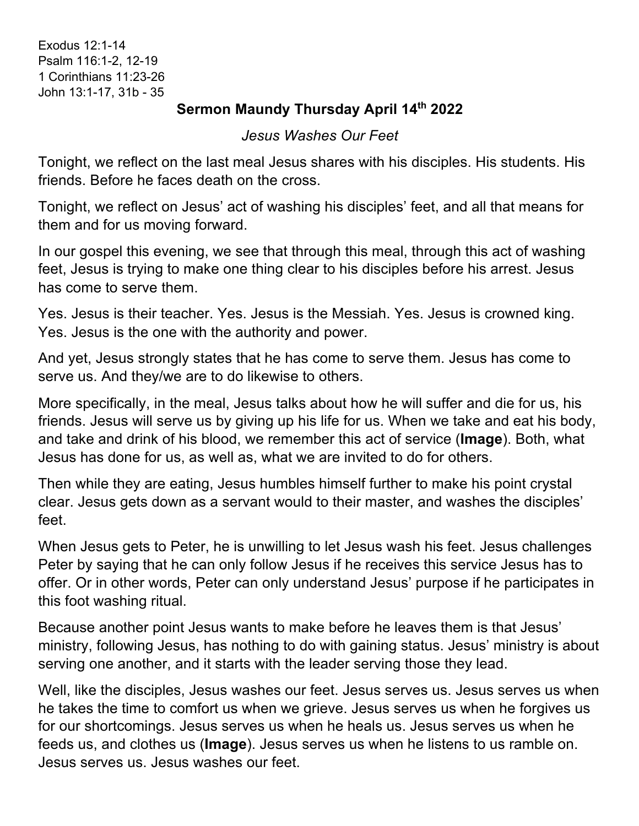Exodus 12:1-14 Psalm 116:1-2, 12-19 1 Corinthians 11:23-26 John 13:1-17, 31b - 35

## **Sermon Maundy Thursday April 14th 2022**

## *Jesus Washes Our Feet*

Tonight, we reflect on the last meal Jesus shares with his disciples. His students. His friends. Before he faces death on the cross.

Tonight, we reflect on Jesus' act of washing his disciples' feet, and all that means for them and for us moving forward.

In our gospel this evening, we see that through this meal, through this act of washing feet, Jesus is trying to make one thing clear to his disciples before his arrest. Jesus has come to serve them.

Yes. Jesus is their teacher. Yes. Jesus is the Messiah. Yes. Jesus is crowned king. Yes. Jesus is the one with the authority and power.

And yet, Jesus strongly states that he has come to serve them. Jesus has come to serve us. And they/we are to do likewise to others.

More specifically, in the meal, Jesus talks about how he will suffer and die for us, his friends. Jesus will serve us by giving up his life for us. When we take and eat his body, and take and drink of his blood, we remember this act of service (**Image**). Both, what Jesus has done for us, as well as, what we are invited to do for others.

Then while they are eating, Jesus humbles himself further to make his point crystal clear. Jesus gets down as a servant would to their master, and washes the disciples' feet.

When Jesus gets to Peter, he is unwilling to let Jesus wash his feet. Jesus challenges Peter by saying that he can only follow Jesus if he receives this service Jesus has to offer. Or in other words, Peter can only understand Jesus' purpose if he participates in this foot washing ritual.

Because another point Jesus wants to make before he leaves them is that Jesus' ministry, following Jesus, has nothing to do with gaining status. Jesus' ministry is about serving one another, and it starts with the leader serving those they lead.

Well, like the disciples, Jesus washes our feet. Jesus serves us. Jesus serves us when he takes the time to comfort us when we grieve. Jesus serves us when he forgives us for our shortcomings. Jesus serves us when he heals us. Jesus serves us when he feeds us, and clothes us (**Image**). Jesus serves us when he listens to us ramble on. Jesus serves us. Jesus washes our feet.